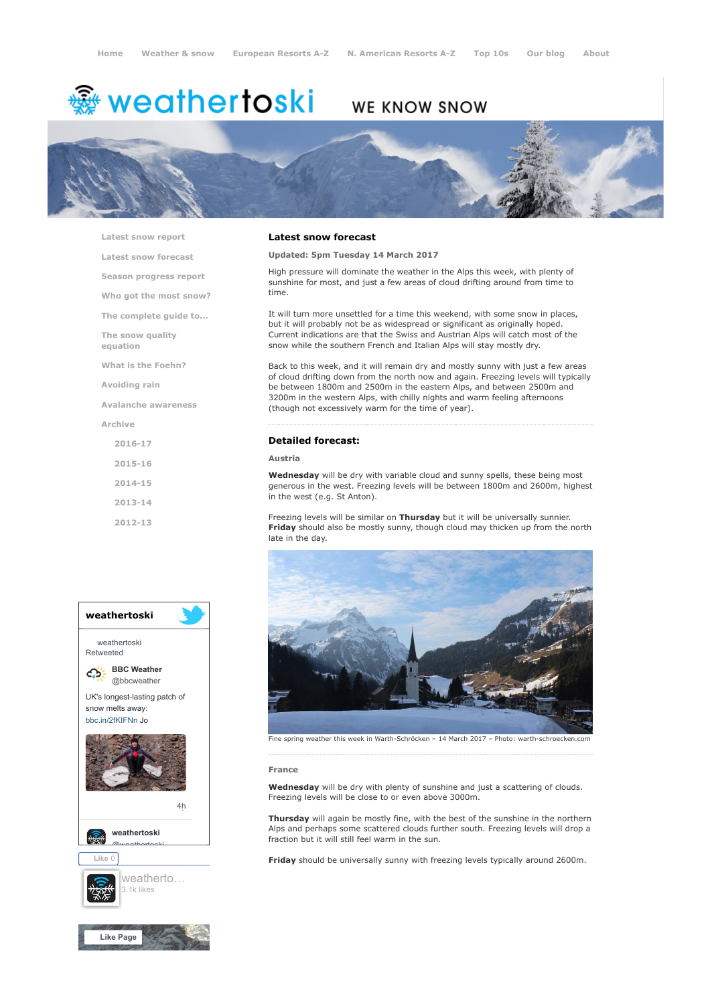# <del>鑾</del> weathertoski

# WE KNOW SNOW



[Latest snow report](https://www.weathertoski.co.uk/weather-snow/latest-snow-report/)

[Latest snow forecast](https://www.weathertoski.co.uk/weather-snow/latest-snow-forecast/)

[Season progress report](https://www.weathertoski.co.uk/weather-snow/season-progress-report/)

[Who got the most snow?](https://www.weathertoski.co.uk/weather-snow/who-got-the-most-snow/)

[The complete guide to...](https://www.weathertoski.co.uk/weather-snow/the-complete-guide-to/)

[The snow quality](https://www.weathertoski.co.uk/weather-snow/the-snow-quality-equation/)

[What is the Foehn?](https://www.weathertoski.co.uk/weather-snow/what-is-the-foehn/)

[Avoiding rain](https://www.weathertoski.co.uk/weather-snow/avoiding-rain/)

equation

[Avalanche awareness](https://www.weathertoski.co.uk/weather-snow/avalanche-awareness/)

[Archive](https://www.weathertoski.co.uk/weather-snow/archive/)

[2016-17](https://www.weathertoski.co.uk/weather-snow/archive/2016-17/) [2015-16](https://www.weathertoski.co.uk/weather-snow/archive/2015-16/) [2014-15](https://www.weathertoski.co.uk/weather-snow/archive/2014-15/) [2013-14](https://www.weathertoski.co.uk/weather-snow/archive/2013-14/)

[2012-13](https://www.weathertoski.co.uk/weather-snow/archive/2012-13/)



# Latest snow forecast

Updated: 5pm Tuesday 14 March 2017

High pressure will dominate the weather in the Alps this week, with plenty of sunshine for most, and just a few areas of cloud drifting around from time to time.

It will turn more unsettled for a time this weekend, with some snow in places, but it will probably not be as widespread or significant as originally hoped. Current indications are that the Swiss and Austrian Alps will catch most of the snow while the southern French and Italian Alps will stay mostly dry.

Back to this week, and it will remain dry and mostly sunny with just a few areas of cloud drifting down from the north now and again. Freezing levels will typically be between 1800m and 2500m in the eastern Alps, and between 2500m and 3200m in the western Alps, with chilly nights and warm feeling afternoons (though not excessively warm for the time of year).

#### Detailed forecast:

#### Austria

Wednesday will be dry with variable cloud and sunny spells, these being most generous in the west. Freezing levels will be between 1800m and 2600m, highest in the west (e.g. St Anton).

Freezing levels will be similar on Thursday but it will be universally sunnier. Friday should also be mostly sunny, though cloud may thicken up from the north late in the day.



Fine spring weather this week in Warth-Schröcken - 14 March 2017 - Photo: warth-schroecken.com

#### France

Wednesday will be dry with plenty of sunshine and just a scattering of clouds. Freezing levels will be close to or even above 3000m.

Thursday will again be mostly fine, with the best of the sunshine in the northern Alps and perhaps some scattered clouds further south. Freezing levels will drop a fraction but it will still feel warm in the sun.

Friday should be universally sunny with freezing levels typically around 2600m.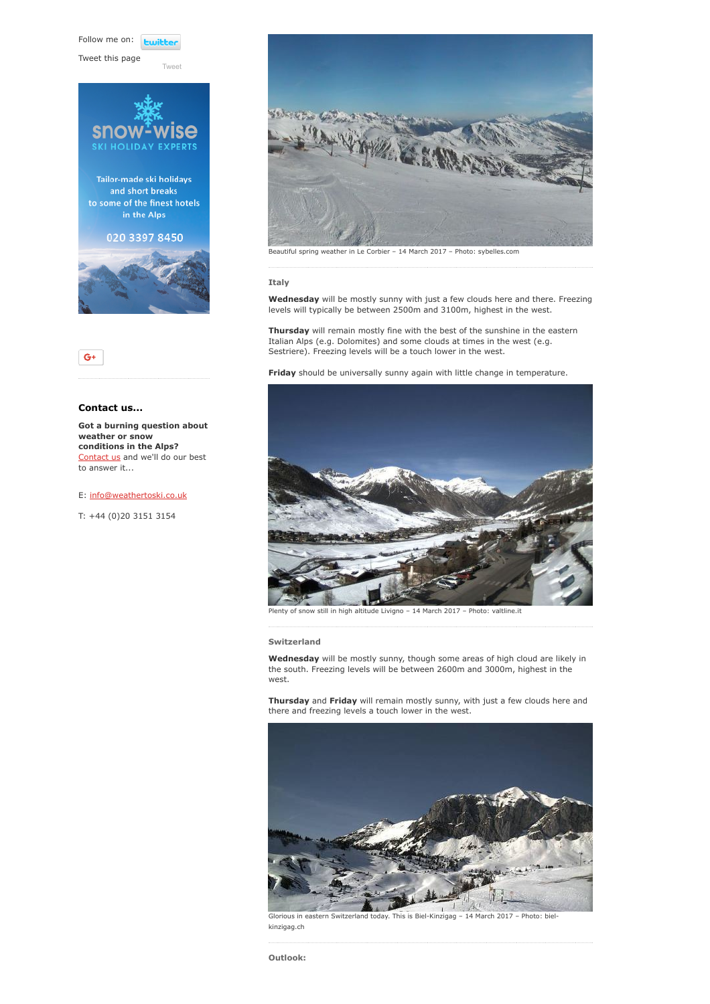Follow me on: **Ewitte** 

[Tweet](https://twitter.com/intent/tweet?original_referer=https%3A%2F%2Fwww.weathertoski.co.uk%2Fweather-snow%2Farchive%2Fsnow-forecast-14-03-2017%2F&ref_src=twsrc%5Etfw&text=Weather%20to%20ski%20-%20Snow%20forecast%20-%2014%20March%202017&tw_p=tweetbutton&url=https%3A%2F%2Fwww.weathertoski.co.uk%2Fweather-snow%2Farchive%2Fsnow-forecast-14-03-2017%2F)

Tweet this page





# Contact us...

 $G^+$ 

Got a burning question about weather or snow conditions in the Alps? [Contact us](https://www.weathertoski.co.uk/about-1/contact-us/) and we'll do our best to answer it...

E: [info@weathertoski.co.uk](mailto:fraser@weathertoski.co.uk)

T: +44 (0)20 3151 3154



Beautiful spring weather in Le Corbier – 14 March 2017 – Photo: sybelles.com

## Italy

Wednesday will be mostly sunny with just a few clouds here and there. Freezing levels will typically be between 2500m and 3100m, highest in the west.

Thursday will remain mostly fine with the best of the sunshine in the eastern Italian Alps (e.g. Dolomites) and some clouds at times in the west (e.g. Sestriere). Freezing levels will be a touch lower in the west.

Friday should be universally sunny again with little change in temperature.



Plenty of snow still in high altitude Livigno – 14 March 2017 – Photo: valtline.it

### Switzerland

Wednesday will be mostly sunny, though some areas of high cloud are likely in the south. Freezing levels will be between 2600m and 3000m, highest in the west.

Thursday and Friday will remain mostly sunny, with just a few clouds here and there and freezing levels a touch lower in the west.



Glorious in eastern Switzerland today. This is Biel-Kinzigag – 14 March 2017 – Photo: bielkinzigag.ch

Outlook: